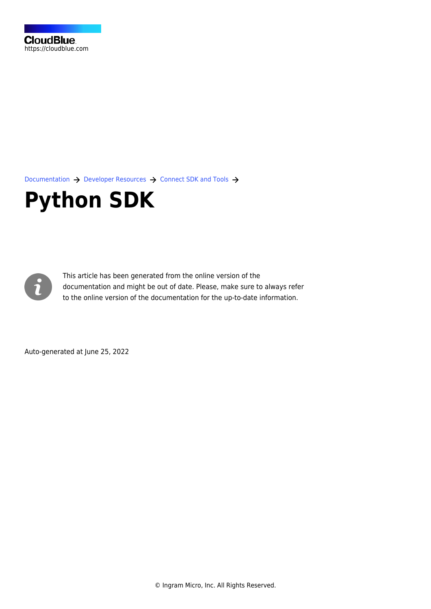[Documentation](https://connect.cloudblue.com/documentation)  $\rightarrow$  [Developer Resources](https://connect.cloudblue.com/community/developers/)  $\rightarrow$  [Connect SDK and Tools](https://connect.cloudblue.com/community/developers/sdk/)  $\rightarrow$ 

# **[Python SDK](https://connect.cloudblue.com/community/developers/sdk/python-sdk/)**



This article has been generated from the online version of the documentation and might be out of date. Please, make sure to always refer to the online version of the documentation for the up-to-date information.

Auto-generated at June 25, 2022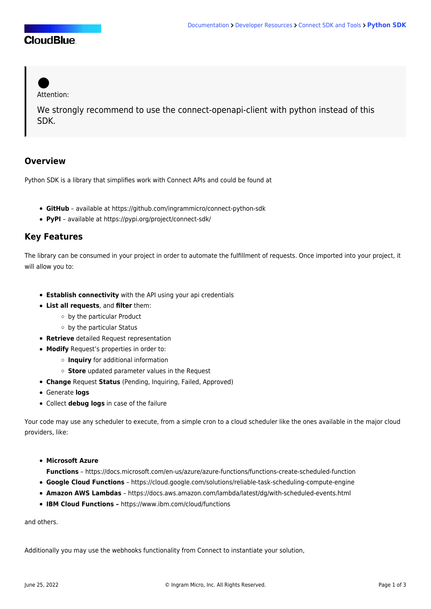# **CloudBlue**

Attention:

We strongly recommend to use the connect-openapi-client with python instead of this SDK.

## **Overview**

Python SDK is a library that simplifies work with Connect APIs and could be found at

- **GitHub** available at <https://github.com/ingrammicro/connect-python-sdk>
- **PyPI**  available at<https://pypi.org/project/connect-sdk/>

## **Key Features**

The library can be consumed in your project in order to automate the fulfillment of requests. Once imported into your project, it will allow you to:

- **Establish connectivity** with the API using your api credentials
- **List all requests**, and **filter** them:
	- by the particular Product
	- o by the particular Status
- **Retrieve** detailed Request representation
- **Modify** Request's properties in order to:
	- **Inquiry** for additional information
	- **Store** updated parameter values in the Request
- **Change** Request **Status** (Pending, Inquiring, Failed, Approved)
- Generate **logs**
- Collect **debug logs** in case of the failure

Your code may use any scheduler to execute, from a simple cron to a cloud scheduler like the ones available in the major cloud providers, like:

**Microsoft Azure**

**Functions** – <https://docs.microsoft.com/en-us/azure/azure-functions/functions-create-scheduled-function>

- **Google Cloud Functions** –<https://cloud.google.com/solutions/reliable-task-scheduling-compute-engine>
- **Amazon AWS Lambdas** –<https://docs.aws.amazon.com/lambda/latest/dg/with-scheduled-events.html>
- **IBM Cloud Functions** [https://www.ibm.com/cloud/functions](https://urldefense.proofpoint.com/v2/url?u=https-3A__www.ibm.com_cloud_functions&d=DwMFJg&c=--1RjWWBW4Kf6aBAaj53vPItwfT0BR1YjSDV46P5EvE&r=ELtVxTm1hu5b4Pj_AkKoZSuukDtLKbWORf_U_v5YOMs&m=LQnEk3_EjwmRQKIGQIZrXP18Yew6j47SXzquQ9XDvm4&s=cDZfiqcQKfcyou6jDFVjAqbZSud1t4zbujGbWwCDvMA&e=)

and others.

Additionally you may use the webhooks functionality from Connect to instantiate your solution,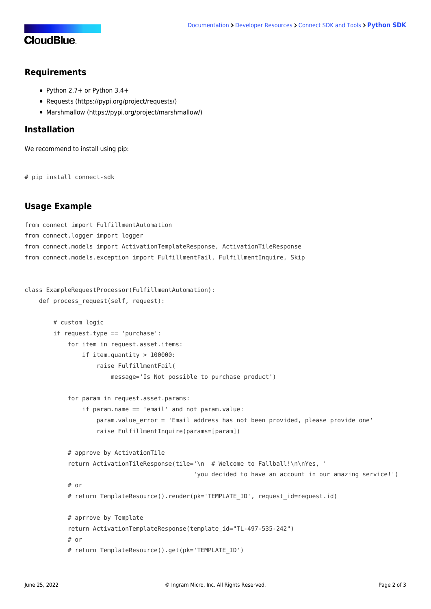# **CloudBlue**

#### **Requirements**

- Python 2.7+ or Python 3.4+
- Requests [\(https://pypi.org/project/requests/](https://pypi.org/project/requests/))
- Marshmallow [\(https://pypi.org/project/marshmallow/\)](https://pypi.org/project/marshmallow/)

#### **Installation**

We recommend to install using pip:

```
# pip install connect-sdk
```
## **Usage Example**

```
from connect import FulfillmentAutomation
from connect.logger import logger
from connect.models import ActivationTemplateResponse, ActivationTileResponse
from connect.models.exception import FulfillmentFail, FulfillmentInquire, Skip
class ExampleRequestProcessor(FulfillmentAutomation):
     def process_request(self, request):
         # custom logic
         if request.type == 'purchase':
             for item in request.asset.items:
```

```
 if item.quantity > 100000:
         raise FulfillmentFail(
             message='Is Not possible to purchase product')
 for param in request.asset.params:
     if param.name == 'email' and not param.value:
         param.value_error = 'Email address has not been provided, please provide one'
         raise FulfillmentInquire(params=[param])
 # approve by ActivationTile
 return ActivationTileResponse(tile='\n # Welcome to Fallball!\n\nYes, '
                                     'you decided to have an account in our amazing service!')
 # or
# return TemplateResource().render(pk='TEMPLATE ID', request id=request.id)
 # aprrove by Template
 return ActivationTemplateResponse(template_id="TL-497-535-242")
 # or
```

```
 # return TemplateResource().get(pk='TEMPLATE_ID')
```